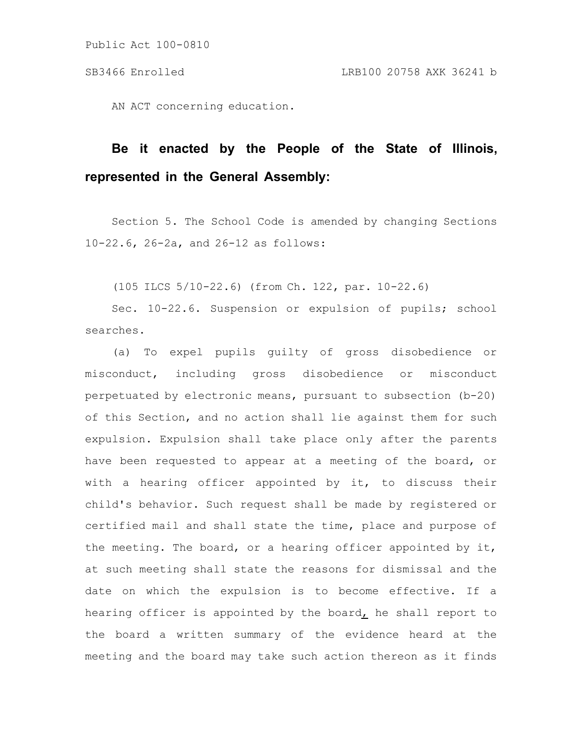AN ACT concerning education.

# **Be it enacted by the People of the State of Illinois, represented in the General Assembly:**

Section 5. The School Code is amended by changing Sections 10-22.6, 26-2a, and 26-12 as follows:

(105 ILCS 5/10-22.6) (from Ch. 122, par. 10-22.6)

Sec. 10-22.6. Suspension or expulsion of pupils; school searches.

(a) To expel pupils guilty of gross disobedience or misconduct, including gross disobedience or misconduct perpetuated by electronic means, pursuant to subsection (b-20) of this Section, and no action shall lie against them for such expulsion. Expulsion shall take place only after the parents have been requested to appear at a meeting of the board, or with a hearing officer appointed by it, to discuss their child's behavior. Such request shall be made by registered or certified mail and shall state the time, place and purpose of the meeting. The board, or a hearing officer appointed by it, at such meeting shall state the reasons for dismissal and the date on which the expulsion is to become effective. If a hearing officer is appointed by the board, he shall report to the board a written summary of the evidence heard at the meeting and the board may take such action thereon as it finds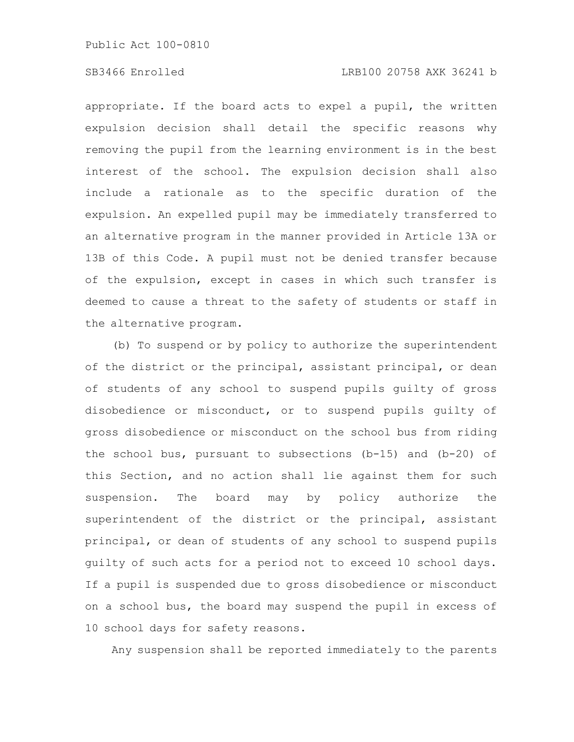appropriate. If the board acts to expel a pupil, the written expulsion decision shall detail the specific reasons why removing the pupil from the learning environment is in the best interest of the school. The expulsion decision shall also include a rationale as to the specific duration of the expulsion. An expelled pupil may be immediately transferred to an alternative program in the manner provided in Article 13A or 13B of this Code. A pupil must not be denied transfer because of the expulsion, except in cases in which such transfer is deemed to cause a threat to the safety of students or staff in the alternative program.

(b) To suspend or by policy to authorize the superintendent of the district or the principal, assistant principal, or dean of students of any school to suspend pupils guilty of gross disobedience or misconduct, or to suspend pupils guilty of gross disobedience or misconduct on the school bus from riding the school bus, pursuant to subsections (b-15) and (b-20) of this Section, and no action shall lie against them for such suspension. The board may by policy authorize the superintendent of the district or the principal, assistant principal, or dean of students of any school to suspend pupils guilty of such acts for a period not to exceed 10 school days. If a pupil is suspended due to gross disobedience or misconduct on a school bus, the board may suspend the pupil in excess of 10 school days for safety reasons.

Any suspension shall be reported immediately to the parents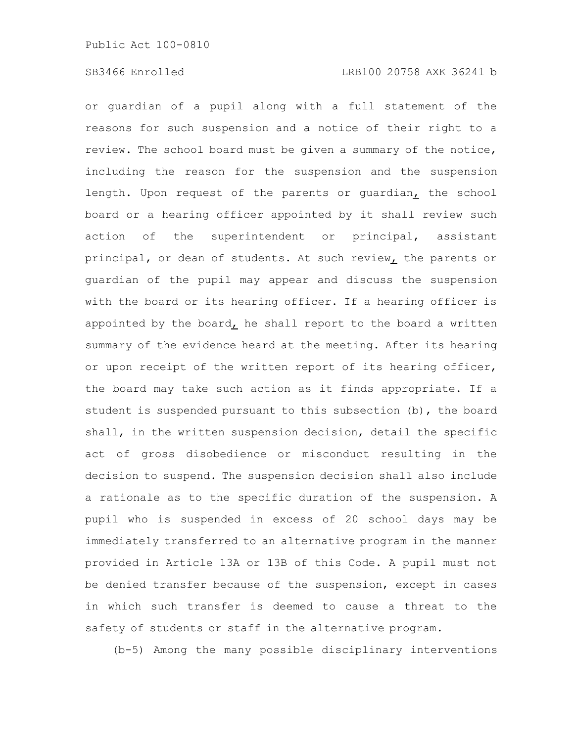or guardian of a pupil along with a full statement of the reasons for such suspension and a notice of their right to a review. The school board must be given a summary of the notice, including the reason for the suspension and the suspension length. Upon request of the parents or guardian, the school board or a hearing officer appointed by it shall review such action of the superintendent or principal, assistant principal, or dean of students. At such review, the parents or guardian of the pupil may appear and discuss the suspension with the board or its hearing officer. If a hearing officer is appointed by the board, he shall report to the board a written summary of the evidence heard at the meeting. After its hearing or upon receipt of the written report of its hearing officer, the board may take such action as it finds appropriate. If a student is suspended pursuant to this subsection (b), the board shall, in the written suspension decision, detail the specific act of gross disobedience or misconduct resulting in the decision to suspend. The suspension decision shall also include a rationale as to the specific duration of the suspension. A pupil who is suspended in excess of 20 school days may be immediately transferred to an alternative program in the manner provided in Article 13A or 13B of this Code. A pupil must not be denied transfer because of the suspension, except in cases in which such transfer is deemed to cause a threat to the safety of students or staff in the alternative program.

(b-5) Among the many possible disciplinary interventions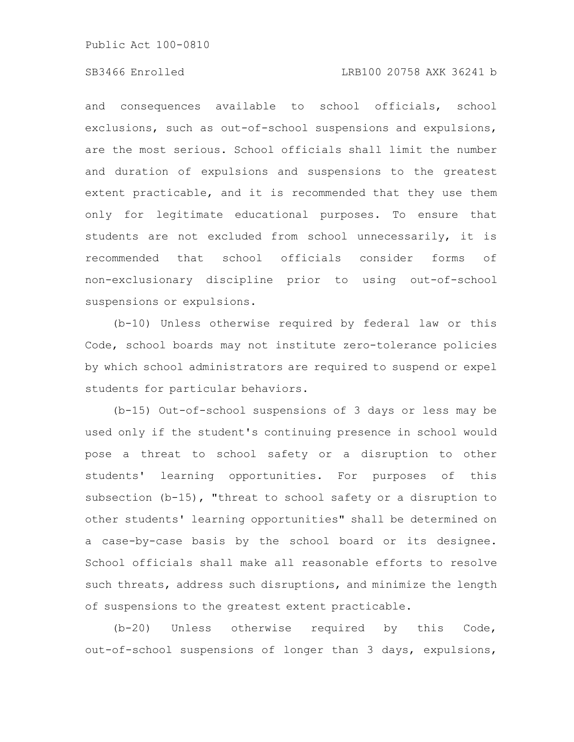# SB3466 Enrolled LRB100 20758 AXK 36241 b

and consequences available to school officials, school exclusions, such as out-of-school suspensions and expulsions, are the most serious. School officials shall limit the number and duration of expulsions and suspensions to the greatest extent practicable, and it is recommended that they use them only for legitimate educational purposes. To ensure that students are not excluded from school unnecessarily, it is recommended that school officials consider forms of non-exclusionary discipline prior to using out-of-school suspensions or expulsions.

(b-10) Unless otherwise required by federal law or this Code, school boards may not institute zero-tolerance policies by which school administrators are required to suspend or expel students for particular behaviors.

(b-15) Out-of-school suspensions of 3 days or less may be used only if the student's continuing presence in school would pose a threat to school safety or a disruption to other students' learning opportunities. For purposes of this subsection (b-15), "threat to school safety or a disruption to other students' learning opportunities" shall be determined on a case-by-case basis by the school board or its designee. School officials shall make all reasonable efforts to resolve such threats, address such disruptions, and minimize the length of suspensions to the greatest extent practicable.

(b-20) Unless otherwise required by this Code, out-of-school suspensions of longer than 3 days, expulsions,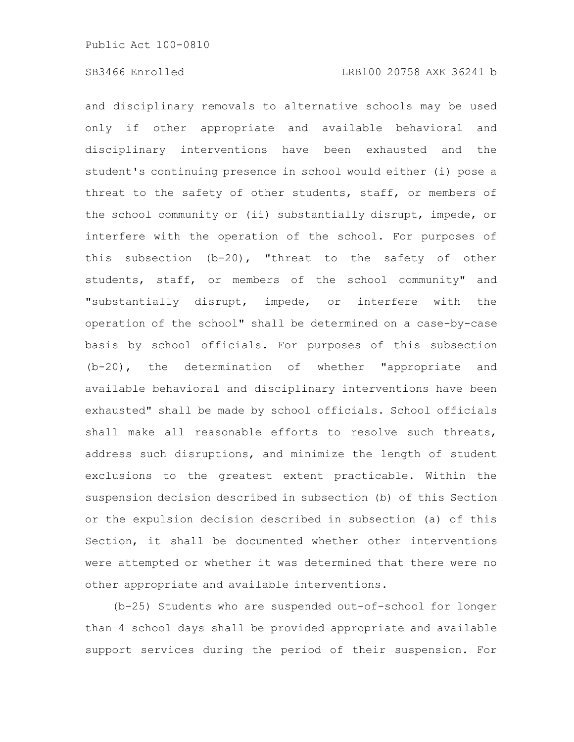and disciplinary removals to alternative schools may be used only if other appropriate and available behavioral and disciplinary interventions have been exhausted and the student's continuing presence in school would either (i) pose a threat to the safety of other students, staff, or members of the school community or (ii) substantially disrupt, impede, or interfere with the operation of the school. For purposes of this subsection (b-20), "threat to the safety of other students, staff, or members of the school community" and "substantially disrupt, impede, or interfere with the operation of the school" shall be determined on a case-by-case basis by school officials. For purposes of this subsection (b-20), the determination of whether "appropriate and available behavioral and disciplinary interventions have been exhausted" shall be made by school officials. School officials shall make all reasonable efforts to resolve such threats, address such disruptions, and minimize the length of student exclusions to the greatest extent practicable. Within the suspension decision described in subsection (b) of this Section or the expulsion decision described in subsection (a) of this Section, it shall be documented whether other interventions were attempted or whether it was determined that there were no other appropriate and available interventions.

(b-25) Students who are suspended out-of-school for longer than 4 school days shall be provided appropriate and available support services during the period of their suspension. For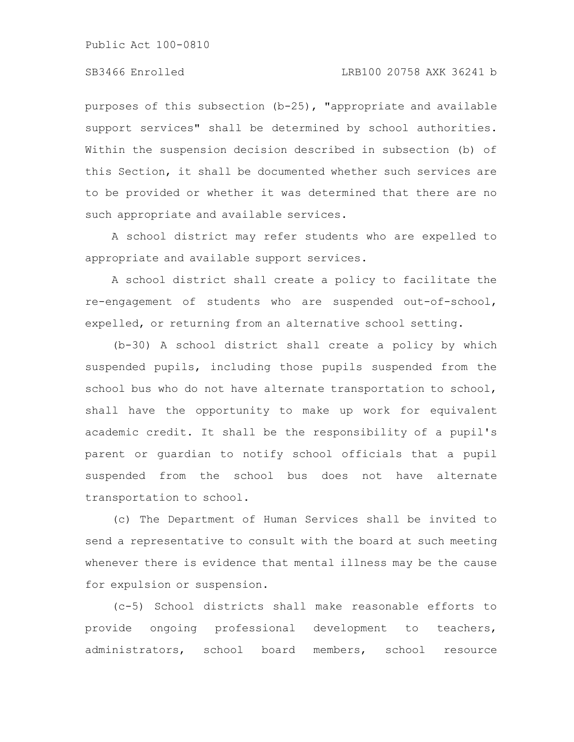# SB3466 Enrolled LRB100 20758 AXK 36241 b

purposes of this subsection (b-25), "appropriate and available support services" shall be determined by school authorities. Within the suspension decision described in subsection (b) of this Section, it shall be documented whether such services are to be provided or whether it was determined that there are no such appropriate and available services.

A school district may refer students who are expelled to appropriate and available support services.

A school district shall create a policy to facilitate the re-engagement of students who are suspended out-of-school, expelled, or returning from an alternative school setting.

(b-30) A school district shall create a policy by which suspended pupils, including those pupils suspended from the school bus who do not have alternate transportation to school, shall have the opportunity to make up work for equivalent academic credit. It shall be the responsibility of a pupil's parent or guardian to notify school officials that a pupil suspended from the school bus does not have alternate transportation to school.

(c) The Department of Human Services shall be invited to send a representative to consult with the board at such meeting whenever there is evidence that mental illness may be the cause for expulsion or suspension.

(c-5) School districts shall make reasonable efforts to provide ongoing professional development to teachers, administrators, school board members, school resource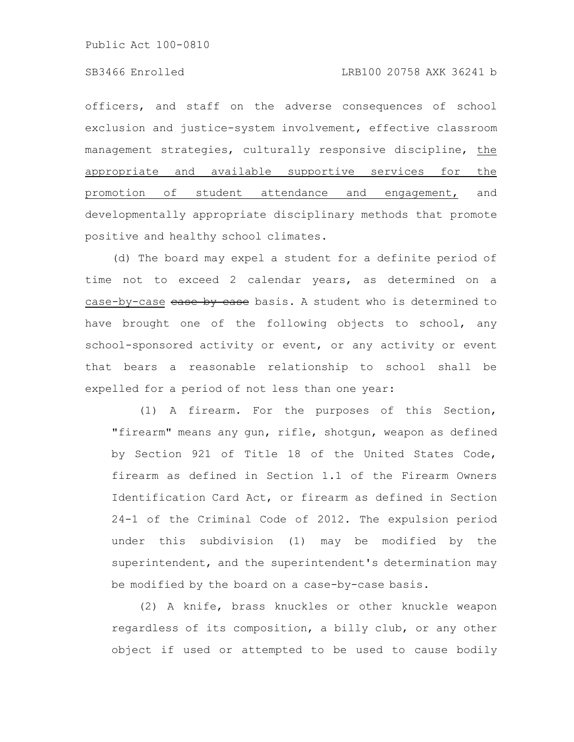officers, and staff on the adverse consequences of school exclusion and justice-system involvement, effective classroom management strategies, culturally responsive discipline, the appropriate and available supportive services for the promotion of student attendance and engagement, and developmentally appropriate disciplinary methods that promote positive and healthy school climates.

(d) The board may expel a student for a definite period of time not to exceed 2 calendar years, as determined on a case-by-case ease by ease basis. A student who is determined to have brought one of the following objects to school, any school-sponsored activity or event, or any activity or event that bears a reasonable relationship to school shall be expelled for a period of not less than one year:

(1) A firearm. For the purposes of this Section, "firearm" means any gun, rifle, shotgun, weapon as defined by Section 921 of Title 18 of the United States Code, firearm as defined in Section 1.1 of the Firearm Owners Identification Card Act, or firearm as defined in Section 24-1 of the Criminal Code of 2012. The expulsion period under this subdivision (1) may be modified by the superintendent, and the superintendent's determination may be modified by the board on a case-by-case basis.

(2) A knife, brass knuckles or other knuckle weapon regardless of its composition, a billy club, or any other object if used or attempted to be used to cause bodily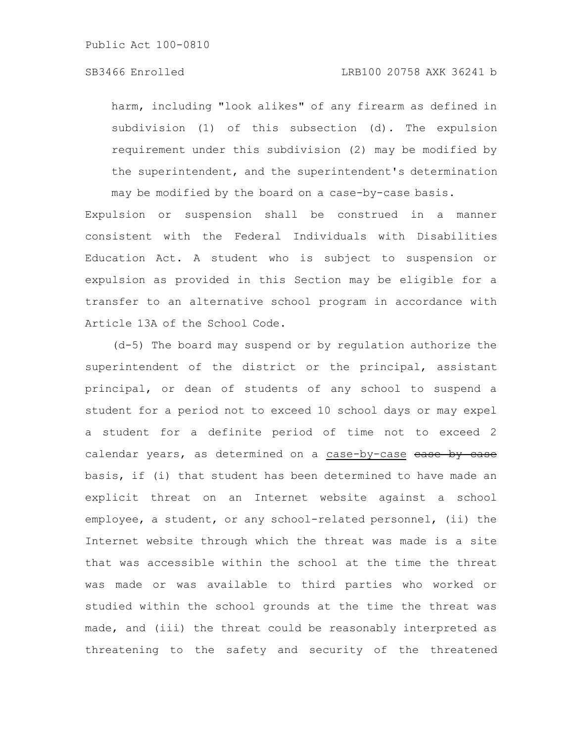harm, including "look alikes" of any firearm as defined in subdivision (1) of this subsection (d). The expulsion requirement under this subdivision (2) may be modified by the superintendent, and the superintendent's determination may be modified by the board on a case-by-case basis.

Expulsion or suspension shall be construed in a manner consistent with the Federal Individuals with Disabilities Education Act. A student who is subject to suspension or expulsion as provided in this Section may be eligible for a transfer to an alternative school program in accordance with Article 13A of the School Code.

(d-5) The board may suspend or by regulation authorize the superintendent of the district or the principal, assistant principal, or dean of students of any school to suspend a student for a period not to exceed 10 school days or may expel a student for a definite period of time not to exceed 2 calendar years, as determined on a case-by-case ease by case basis, if (i) that student has been determined to have made an explicit threat on an Internet website against a school employee, a student, or any school-related personnel, (ii) the Internet website through which the threat was made is a site that was accessible within the school at the time the threat was made or was available to third parties who worked or studied within the school grounds at the time the threat was made, and (iii) the threat could be reasonably interpreted as threatening to the safety and security of the threatened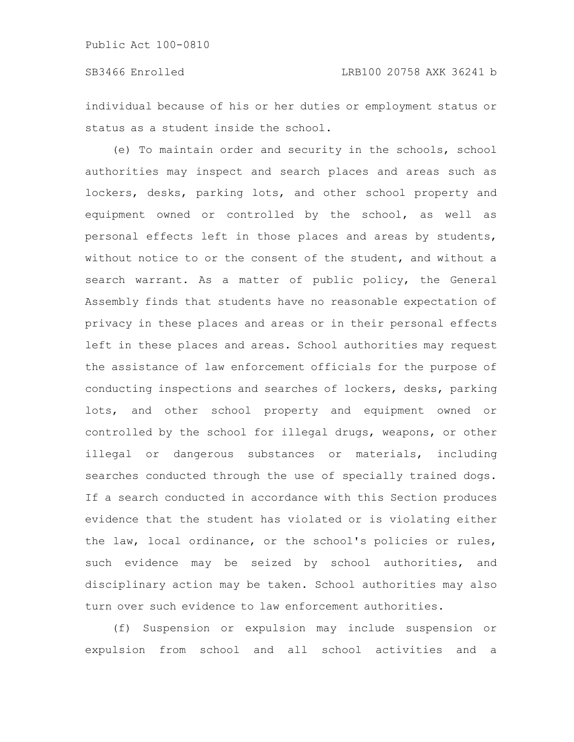individual because of his or her duties or employment status or status as a student inside the school.

(e) To maintain order and security in the schools, school authorities may inspect and search places and areas such as lockers, desks, parking lots, and other school property and equipment owned or controlled by the school, as well as personal effects left in those places and areas by students, without notice to or the consent of the student, and without a search warrant. As a matter of public policy, the General Assembly finds that students have no reasonable expectation of privacy in these places and areas or in their personal effects left in these places and areas. School authorities may request the assistance of law enforcement officials for the purpose of conducting inspections and searches of lockers, desks, parking lots, and other school property and equipment owned or controlled by the school for illegal drugs, weapons, or other illegal or dangerous substances or materials, including searches conducted through the use of specially trained dogs. If a search conducted in accordance with this Section produces evidence that the student has violated or is violating either the law, local ordinance, or the school's policies or rules, such evidence may be seized by school authorities, and disciplinary action may be taken. School authorities may also turn over such evidence to law enforcement authorities.

(f) Suspension or expulsion may include suspension or expulsion from school and all school activities and a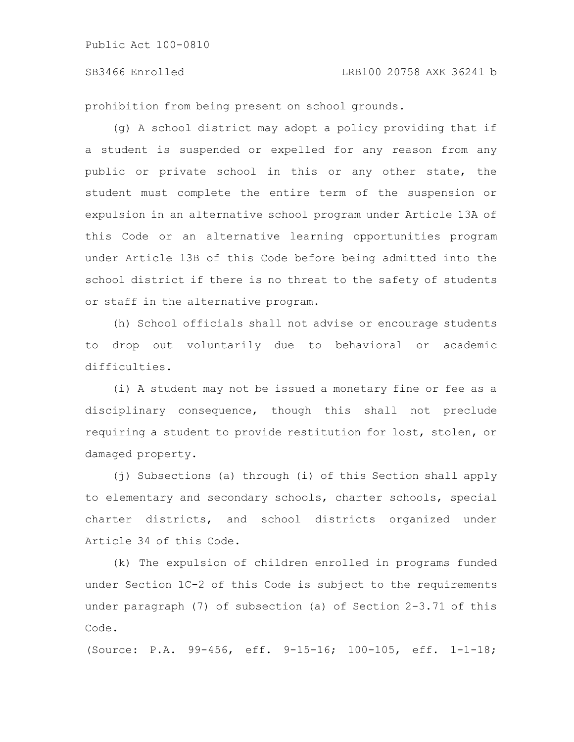# SB3466 Enrolled LRB100 20758 AXK 36241 b

prohibition from being present on school grounds.

(g) A school district may adopt a policy providing that if a student is suspended or expelled for any reason from any public or private school in this or any other state, the student must complete the entire term of the suspension or expulsion in an alternative school program under Article 13A of this Code or an alternative learning opportunities program under Article 13B of this Code before being admitted into the school district if there is no threat to the safety of students or staff in the alternative program.

(h) School officials shall not advise or encourage students to drop out voluntarily due to behavioral or academic difficulties.

(i) A student may not be issued a monetary fine or fee as a disciplinary consequence, though this shall not preclude requiring a student to provide restitution for lost, stolen, or damaged property.

(j) Subsections (a) through (i) of this Section shall apply to elementary and secondary schools, charter schools, special charter districts, and school districts organized under Article 34 of this Code.

(k) The expulsion of children enrolled in programs funded under Section 1C-2 of this Code is subject to the requirements under paragraph (7) of subsection (a) of Section 2-3.71 of this Code.

(Source: P.A. 99-456, eff. 9-15-16; 100-105, eff. 1-1-18;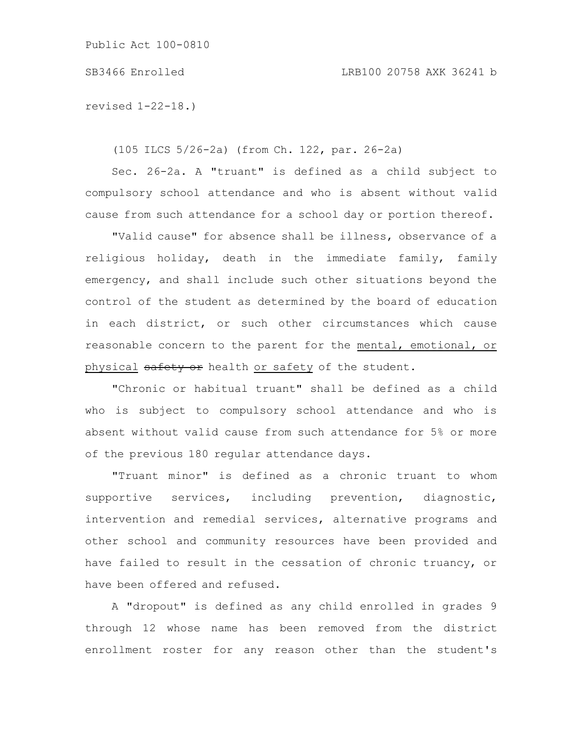revised 1-22-18.)

(105 ILCS 5/26-2a) (from Ch. 122, par. 26-2a)

Sec. 26-2a. A "truant" is defined as a child subject to compulsory school attendance and who is absent without valid cause from such attendance for a school day or portion thereof.

"Valid cause" for absence shall be illness, observance of a religious holiday, death in the immediate family, family emergency, and shall include such other situations beyond the control of the student as determined by the board of education in each district, or such other circumstances which cause reasonable concern to the parent for the mental, emotional, or physical safety or health or safety of the student.

"Chronic or habitual truant" shall be defined as a child who is subject to compulsory school attendance and who is absent without valid cause from such attendance for 5% or more of the previous 180 regular attendance days.

"Truant minor" is defined as a chronic truant to whom supportive services, including prevention, diagnostic, intervention and remedial services, alternative programs and other school and community resources have been provided and have failed to result in the cessation of chronic truancy, or have been offered and refused.

A "dropout" is defined as any child enrolled in grades 9 through 12 whose name has been removed from the district enrollment roster for any reason other than the student's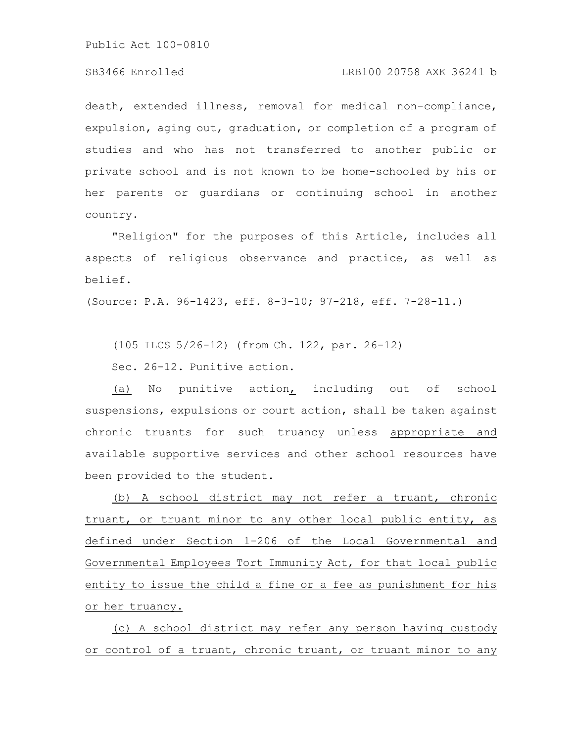# SB3466 Enrolled LRB100 20758 AXK 36241 b

death, extended illness, removal for medical non-compliance, expulsion, aging out, graduation, or completion of a program of studies and who has not transferred to another public or private school and is not known to be home-schooled by his or her parents or guardians or continuing school in another country.

"Religion" for the purposes of this Article, includes all aspects of religious observance and practice, as well as belief.

(Source: P.A. 96-1423, eff. 8-3-10; 97-218, eff. 7-28-11.)

(105 ILCS 5/26-12) (from Ch. 122, par. 26-12)

Sec. 26-12. Punitive action.

(a) No punitive action, including out of school suspensions, expulsions or court action, shall be taken against chronic truants for such truancy unless appropriate and available supportive services and other school resources have been provided to the student.

(b) A school district may not refer a truant, chronic truant, or truant minor to any other local public entity, as defined under Section 1-206 of the Local Governmental and Governmental Employees Tort Immunity Act, for that local public entity to issue the child a fine or a fee as punishment for his or her truancy.

(c) A school district may refer any person having custody or control of a truant, chronic truant, or truant minor to any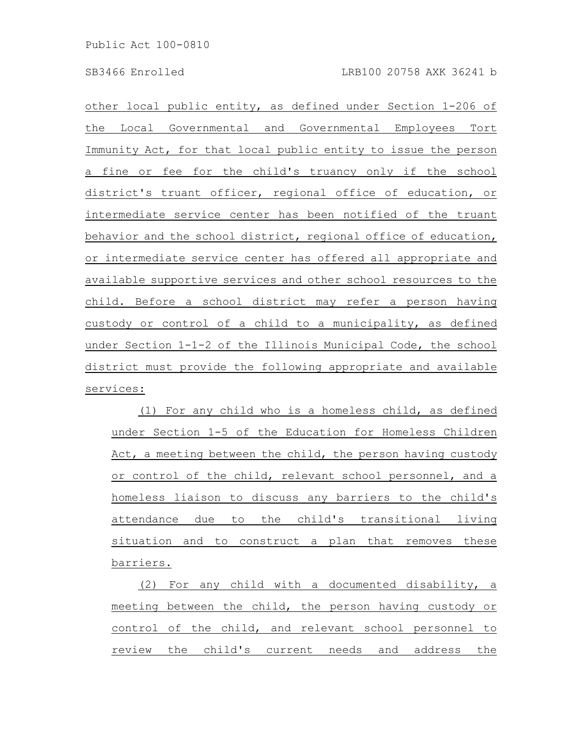other local public entity, as defined under Section 1-206 of the Local Governmental and Governmental Employees Tort Immunity Act, for that local public entity to issue the person a fine or fee for the child's truancy only if the school district's truant officer, regional office of education, or intermediate service center has been notified of the truant behavior and the school district, regional office of education, or intermediate service center has offered all appropriate and available supportive services and other school resources to the child. Before a school district may refer a person having custody or control of a child to a municipality, as defined under Section 1-1-2 of the Illinois Municipal Code, the school district must provide the following appropriate and available services:

(1) For any child who is a homeless child, as defined under Section 1-5 of the Education for Homeless Children Act, a meeting between the child, the person having custody or control of the child, relevant school personnel, and a homeless liaison to discuss any barriers to the child's attendance due to the child's transitional living situation and to construct a plan that removes these barriers.

(2) For any child with a documented disability, a meeting between the child, the person having custody or control of the child, and relevant school personnel to review the child's current needs and address the